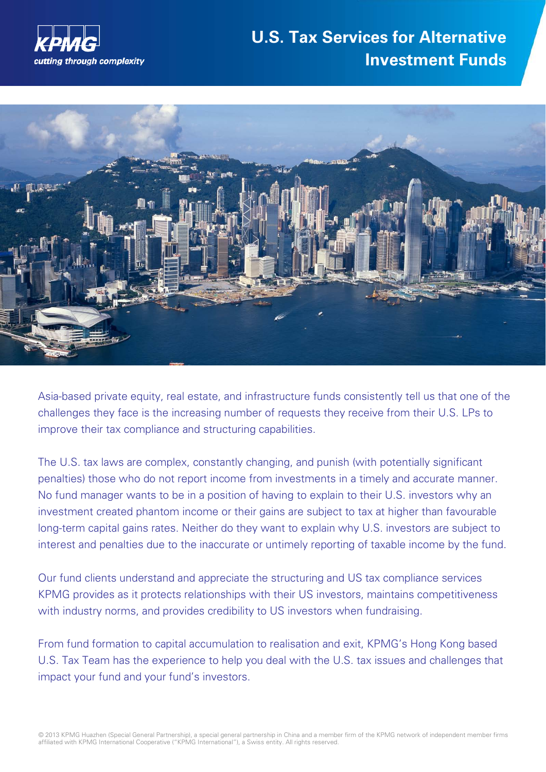

# **U.S. Tax Services for Alternative Investment Funds**



Asia-based private equity, real estate, and infrastructure funds consistently tell us that one of the challenges they face is the increasing number of requests they receive from their U.S. LPs to improve their tax compliance and structuring capabilities.

The U.S. tax laws are complex, constantly changing, and punish (with potentially significant penalties) those who do not report income from investments in a timely and accurate manner. No fund manager wants to be in a position of having to explain to their U.S. investors why an investment created phantom income or their gains are subject to tax at higher than favourable long-term capital gains rates. Neither do they want to explain why U.S. investors are subject to interest and penalties due to the inaccurate or untimely reporting of taxable income by the fund.

Our fund clients understand and appreciate the structuring and US tax compliance services KPMG provides as it protects relationships with their US investors, maintains competitiveness with industry norms, and provides credibility to US investors when fundraising.

From fund formation to capital accumulation to realisation and exit, KPMG's Hong Kong based U.S. Tax Team has the experience to help you deal with the U.S. tax issues and challenges that impact your fund and your fund's investors.